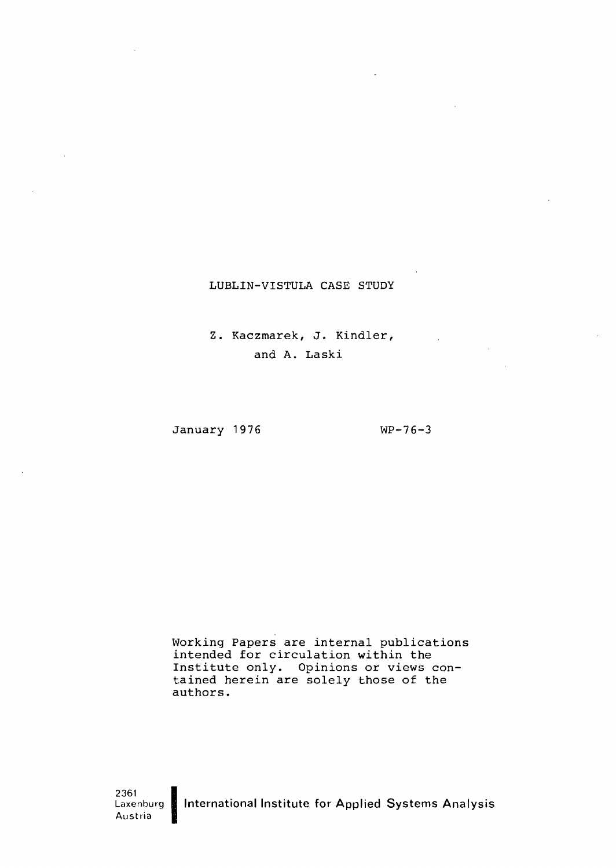# LUBLIN-VISTULA CASE STUDY

z. Kaczmarek, J. Kindler, and A. Laski

January 1976 WP-76-3

Working Papers are internal publications intended for circulation within the Institute only. Opinions or views contained herein are solely those of the authors.

2361<br>Laxenburg | International Institute for Applied Systems Analysis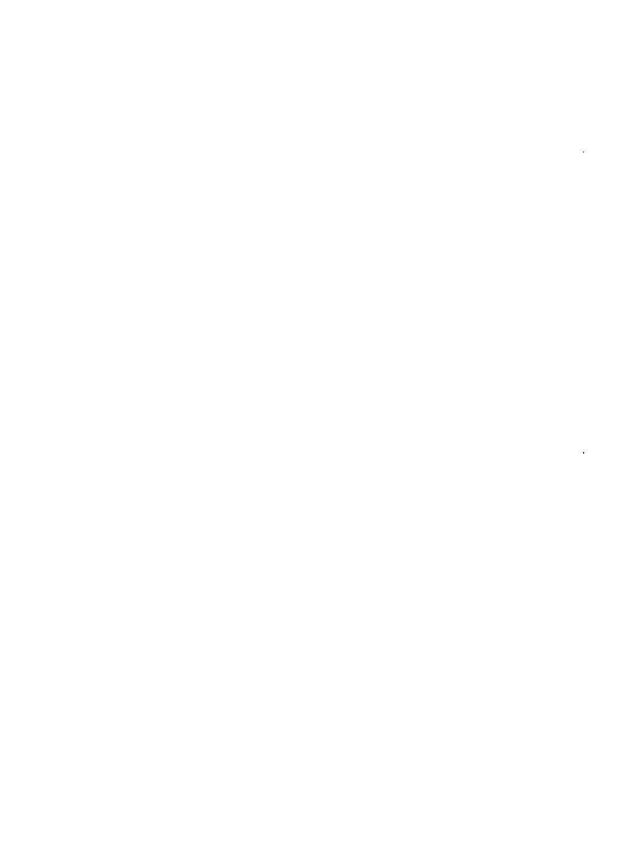$\epsilon$  $\star$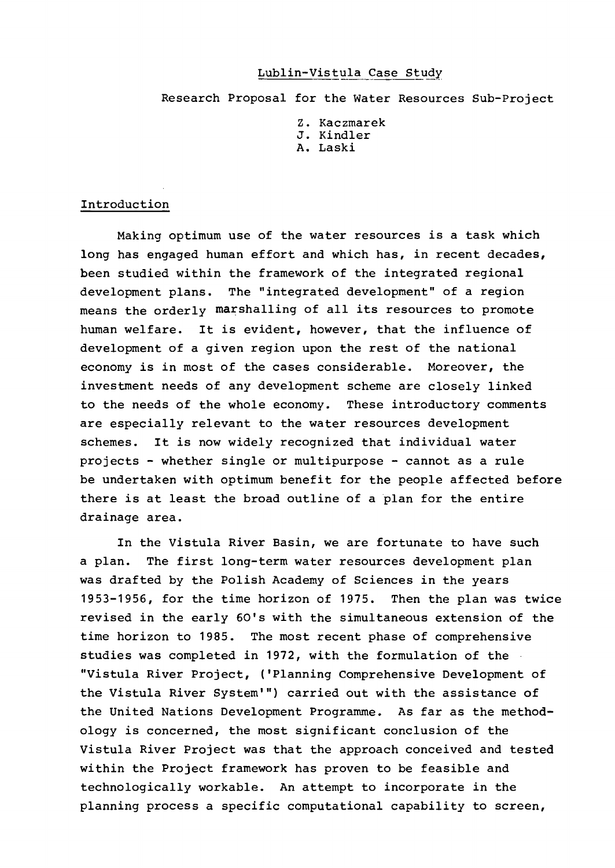## Lublin-Vistula Case Study

Research Proposal for the Water Resources Sub-Project

- z. Kaczmarek
- J. Kindler
- A. Laski

#### Introduction

Making optimum use of the water resources is a task which long has engaged human effort and which has, in recent decades, been studied within the framework of the integrated regional development plans. The "integrated development" of a region means the orderly marshalling of all its resources to promote human welfare. It is evident, however, that the influence of development of a given region upon the rest of the national economy is in most of the cases considerable. Moreover, the investment needs of any development scheme are closely linked to the needs of the whole economy. These introductory comments are especially relevant to the water resources development schemes. It is now widely recognized that individual water projects - whether single or multipurpose - cannot as a rule be undertaken with optimum benefit for the people affected before there is at least the broad outline of <sup>a</sup> plan for the entire drainage area.

In the Vistula River Basin, we are fortunate to have such <sup>a</sup> plan. The first long-term water resources development plan was drafted by the Polish Academy of Sciences in the years 1953-1956, for the time horizon of 1975. Then the plan was twice revised in the early 60's with the simultaneous extension of the time horizon to 1985. The most recent phase of comprehensive studies was completed in 1972, with the formulation of the "Vistula River Project, ('Planning Comprehensive Development of the Vistula River System''') carried out with the assistance of the United Nations Development Programme. As far as the methodology is concerned, the most significant conclusion of the Vistula River Project was that the approach conceived and tested within the Project framework has proven to be feasible and technologically workable. An attempt to incorporate in the planning process a specific computational capability to screen,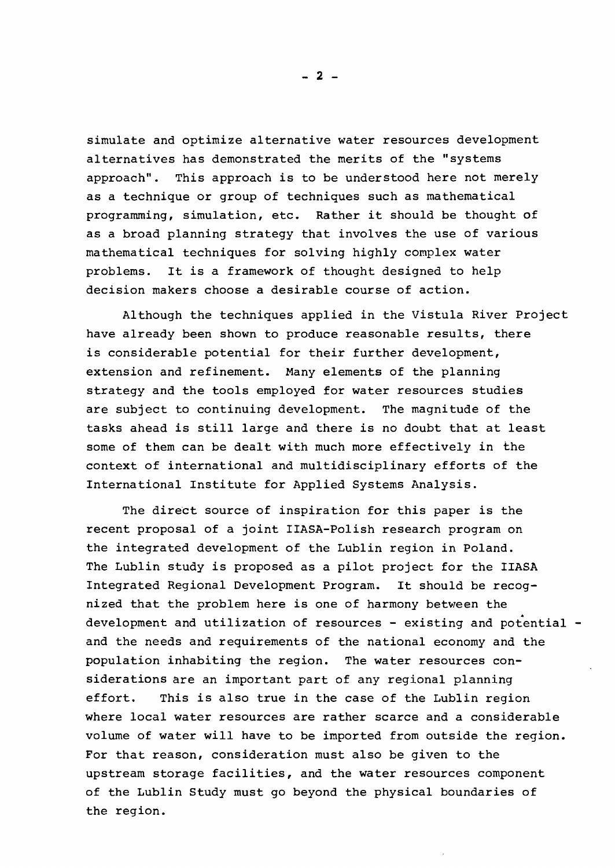simulate and optimize alternative water resources development alternatives has demonstrated the merits of the "systems approach". This approach is to be understood here not merely as a technique or group of techniques such as mathematical programming, simulation, etc. Rather it should be thought of as a broad planning strategy that involves the use of various mathematical techniques for solving highly complex water problems. It is <sup>a</sup> framework of thought designed to help decision makers choose a desirable course of action.

Although the techniques applied in the Vistula River Project have already been shown to produce reasonable results, there is considerable potential for their further development, extension and refinement. Many elements of the planning strategy and the tools employed for water resources studies are subject to continuing development. The magnitude of the tasks ahead is still large and there is no doubt that at least some of them can be dealt with much more effectively in the context of international and multidisciplinary efforts of the International Institute for Applied Systems Analysis.

The direct source of inspiration for this paper is the recent proposal of a joint IIASA-Polish research program on the integrated development of the Lublin region in Poland. The Lublin study is proposed as a pilot project for the IIASA Integrated Regional Development Program. It should be recognized that the problem here is one of harmony between the development and utilization of resources - existing and potential and the needs and requirements of the national economy and the population inhabiting the region. The water resources considerations are an important part of any regional planning effort. This is also true in the case of the Lublin region where local water resources are rather scarce and a considerable volume of water will have to be imported from outside the region. For that reason, consideration must also be given to the upstream storage facilities, and the water resources component of the Lublin Study must go beyond the physical boundaries of the region.

 $- 2 -$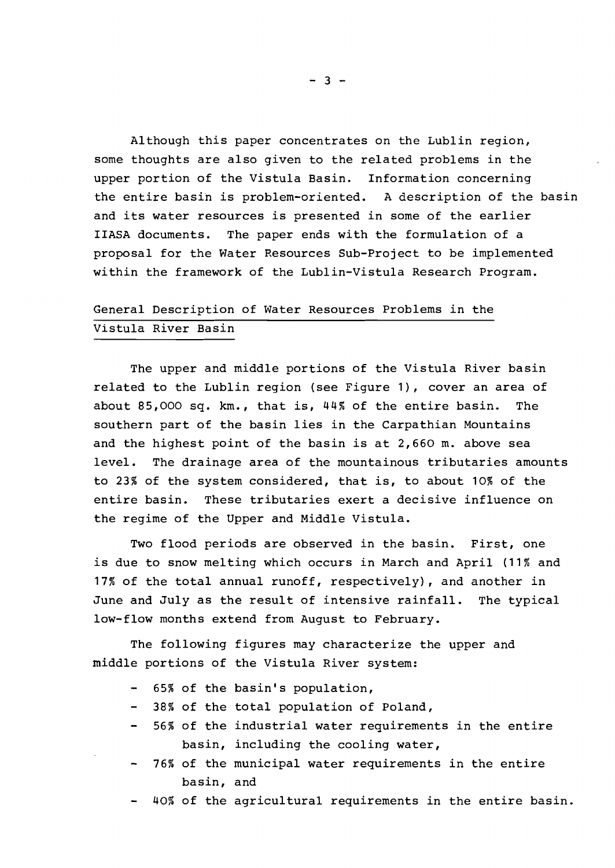Although this paper concentrates on the Lublin region, some thoughts are also given to the related problems in the upper portion of the Vistula Basin. Information concerning the entire basin is problem-oriented. <sup>A</sup> description of the basin and its water resources is presented in some of the earlier IIASA documents. The paper ends with the formulation of a proposal for the Water Resources Sub-Project to be implemented within the framework of the Lublin-Vistula Research Program.

# General Description of Water Resources Problems in the Vistula River Basin

The upper and middle portions of the Vistula River basin related to the Lublin region (see Figure 1), cover an area of about 85,000 sq. km., that is, 44% of the entire basin. The southern part of the basin lies in the Carpathian Mountains and the highest point of the basin is at 2,660 m. above sea level. The drainage area of the mountainous tributaries amounts to 23% of the system considered, that is, to about 10% of the entire basin. These tributaries exert <sup>a</sup> decisive influence on the regime of the Upper and Middle Vistula.

Two flood periods are observed in the basin. First, one is due to snow melting which occurs in March and April (11% and 17% of the total annual runoff, respectively), and another in June and July as the result of intensive rainfall. The typical low-flow months extend from August to February.

The following figures may characterize the upper and middle portions of the Vistula River system:

- 65% of the basin's population,
- 38% of the total population of Poland,
- 56% of the industrial water requirements in the entire basin, including the cooling water,
- 76% of the municipal water requirements in the entire basin, and
- 40% of the agricultural requirements in the entire basin.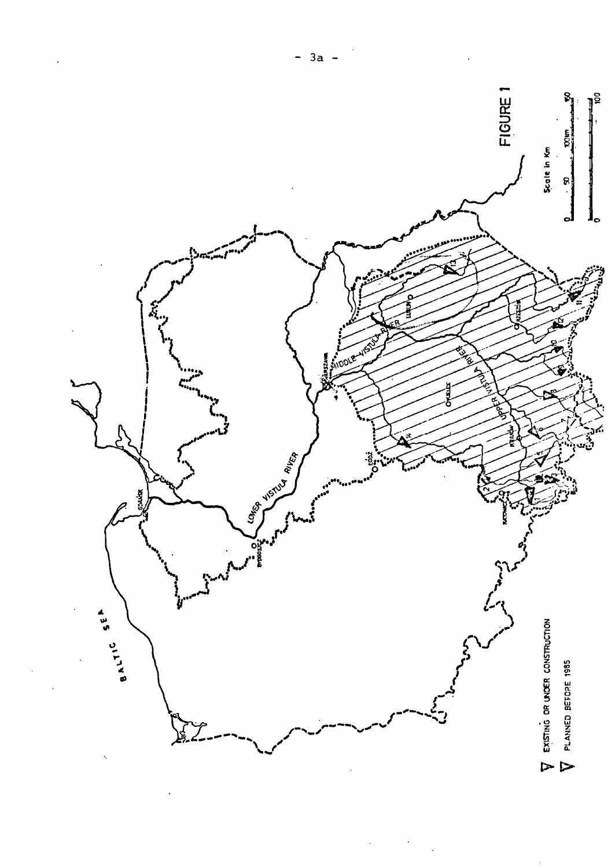

 $3a \overline{a}$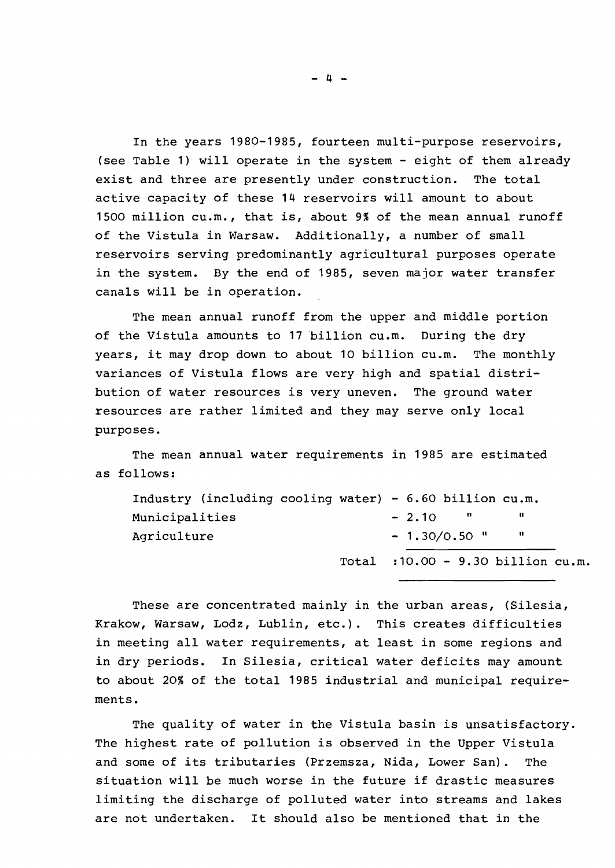In the years 1980-1985, fourteen multi-purpose reservoirs, (see Table 1) will operate in the system - eight of them already exist and three are presently under construction. The total active capacity of these 14 reservoirs will amount to about 1500 million cu.m., that is, about 9% of the mean annual runoff of the Vistula in Warsaw. Additionally, a number of small reservoirs serving predominantly agricultural purposes operate in the system. By the end of 1985, seven major water transfer canals will be in operation.

The mean annual runoff from the upper and middle portion of the Vistula amounts to <sup>17</sup> billion cu.m. During the dry years, it may drop down to about 10 billion cu.m. The monthly variances of Vistula flows are very high and spatial distribution of water resources is very uneven. The ground water resources are rather limited and they may serve only local purposes.

The mean annual water requirements in 1985 are estimated as follows:

|                | Industry (including cooling water) - $6.60$ billion cu.m. |  |  |                  |  |                                      |  |
|----------------|-----------------------------------------------------------|--|--|------------------|--|--------------------------------------|--|
| Municipalities |                                                           |  |  | $-2.10$ "        |  | - 80                                 |  |
| Agriculture    |                                                           |  |  | $-1.30/0.50$ " " |  |                                      |  |
|                |                                                           |  |  |                  |  | Total : $10.00 - 9.30$ billion cu.m. |  |

These are concentrated mainly in the urban areas, (Silesia, Krakow, Warsaw, Lodz, Lublin, etc.). This creates difficulties in meeting all water requirements, at least in some regions and in dry periods. In Silesia, critical water deficits may amount to about 20% of the total 1985 industrial and municipal requirements.

The quality of water in the Vistula basin is unsatisfactory. The highest rate of pollution is observed in the Upper Vistula and some of its tributaries (Przemsza, Nida, Lower San). The situation will be much worse in the future if drastic measures limiting the discharge of polluted water into streams and lakes are not undertaken. It should also be mentioned that in the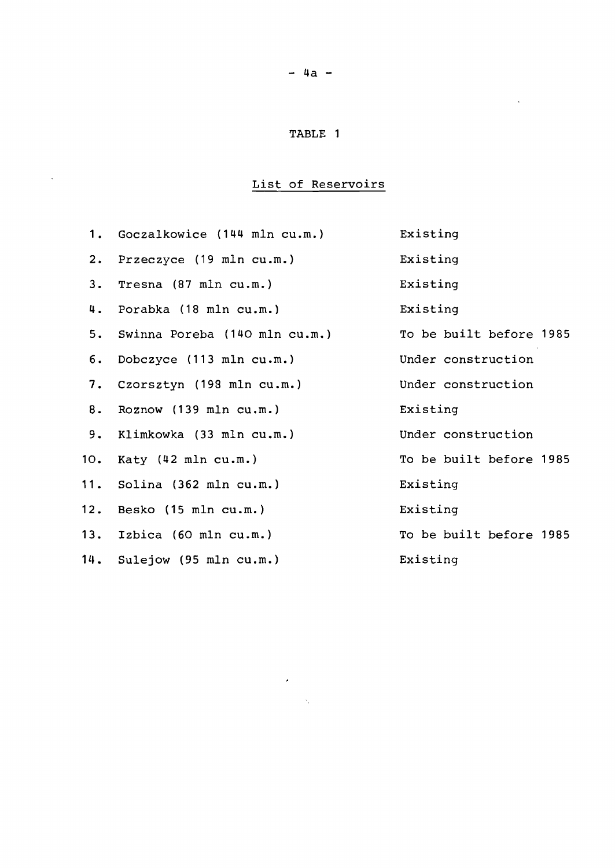#### $- 4a -$

# TABLE 1

## List of Reservoirs

1. Goczalkowice (144 mIn cu.m.) 2. Przeczyce (19 mIn cu.m.) 3. Tresna (87 mIn cu.m.) 4. Porabka (18 mIn cu.m.) 5. Swinna Poreba (140 mIn cu.m.) 6. Dobczyce (113 mIn cu.m.) 7. Czorsztyn (198 mIn cu.m.) 8. Roznow (139 mIn cu.m.) 9. Klimkowka (33 mIn cu.m.) 10. Katy (42 mIn cu.m.) 11. Solina (362 mIn cu.m.) 12. Besko (15 mIn cu.m.) 13. Izbica (60 mIn cu.m.) 14. Sulejow (95 mIn cu.m.) Existing Existing Existing Existing To be built before 1985 Under construction Under construction Existing Under construction To be built before 1985 Existing Existing To be built before 1985 Existing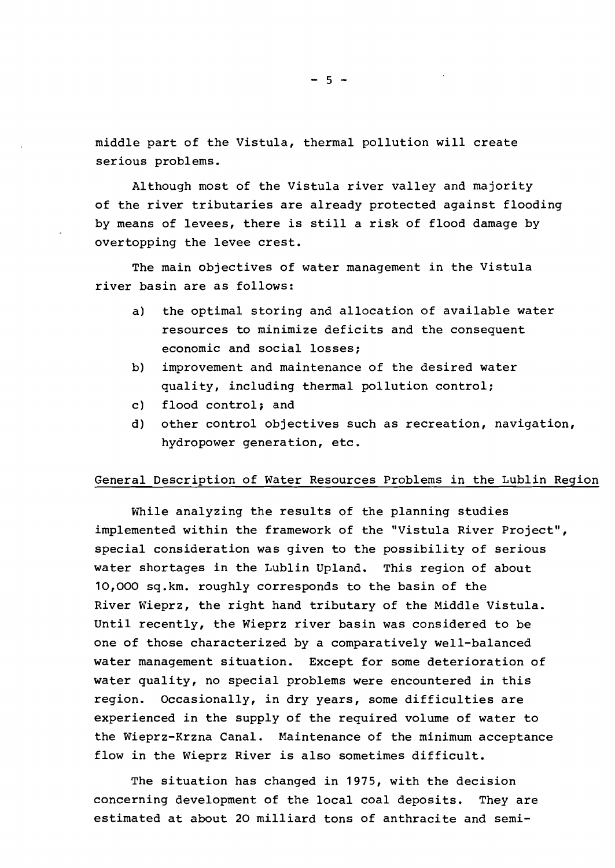middle part of the Vistula, thermal pollution will create serious problems.

Although most of the Vistula river valley and majority of the river tributaries are already protected against flooding by means of levees, there is still <sup>a</sup> risk of flood damage by overtopping the levee crest.

The main objectives of water management in the Vistula river basin are as follows:

- a) the optimal storing and allocation of available water resources to minimize deficits and the consequent economic and social losses;
- b) improvement and maintenance of the desired water quality, including thermal pollution control;
- c) flood control; and
- d) other control objectives such as recreation, navigation, hydropower generation, etc.

# General Description of Water Resources Problems in the Lublin Region

While analyzing the results of the planning studies implemented within the framework of the "Vistula River Project", special consideration was given to the possibility of serious water shortages in the Lublin Upland. This region of about 10,000 sq.km. roughly corresponds to the basin of the River Wieprz, the right hand tributary of the Middle Vistula. Until recently, the Wieprz river basin was considered to be one of those characterized by a comparatively well-balanced water management situation. Except for some deterioration of water quality, no special problems were encountered in this region. Occasionally, in dry years, some difficulties are experienced in the supply of the required volume of water to the Wieprz-Krzna Canal. Maintenance of the minimum acceptance flow in the Wieprz River is also sometimes difficult.

The situation has changed in 1975, with the decision concerning development of the local coal deposits. They are estimated at about 20 milliard tons of anthracite and semi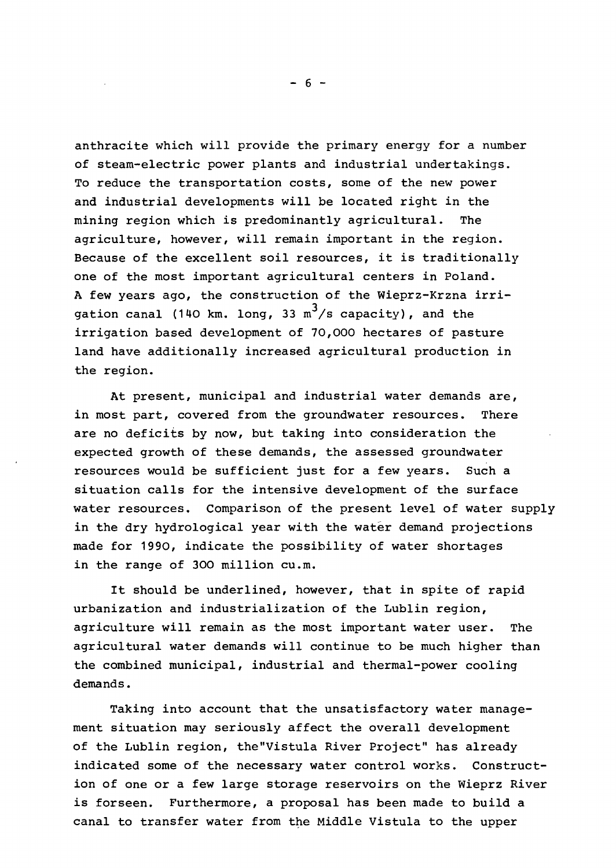anthracite which will provide the primary energy for a number of steam-electric power plants and industrial undertakings. To reduce the transportation costs, some of the new power and industrial developments will be located right in the mining region which is predominantly agricultural. The agriculture, however, will remain important in the region. Because of the excellent soil resources, it is traditionally one of the most important agricultural centers in Poland. <sup>A</sup> few years ago, the construction of the Wieprz-Krzna irrigation canal (140 km. long, 33  $m^3/s$  capacity), and the irrigation based development of 70,000 hectares of pasture land have additionally increased agricultural production in the region.

At present, municipal and industrial water demands are, in most part, covered from the groundwater resources. There are no deficits by now, but taking into consideration the expected growth of these demands, the assessed groundwater resources would be sufficient just for a few years. Such a situation calls for the intensive development of the surface water resources. Comparison of the present level of water supply in the dry hydrological year with the water demand projections made for 1990, indicate the possibility of water shortages in the range of 300 million cu.m.

It should be underlined, however, that in spite of rapid urbanization and industrialization of the Lublin region, agriculture will remain as the most important water user. The agricultural water demands will continue to be much higher than the combined municipal, industrial and thermal-power cooling demands.

Taking into account that the unsatisfactory water management situation may seriously affect the overall development of the Lublin region, the"Vistula River Project" has already indicated some of the necessary water control works. Construction of one or a few large storage reservoirs on the Wieprz River is forseen. Furthermore, <sup>a</sup> proposal has been made to build <sup>a</sup> canal to transfer water from the Middle Vistula to the upper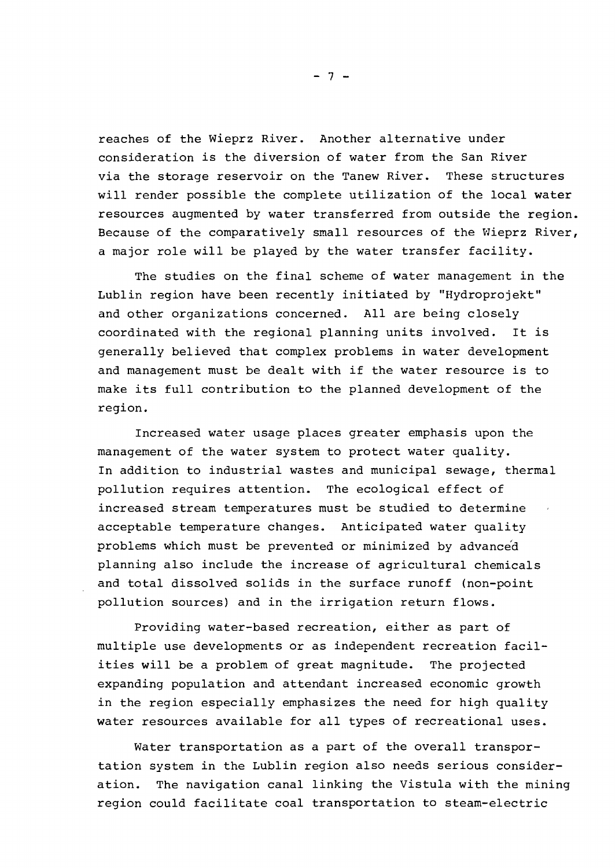reaches of the Wieprz River. Another alternative under consideration is the diversion of water from the San River via the storage reservoir on the Tanew River. These structures will render possible the complete utilization of the local water resources augmented by water transferred from outside the region. Because of the comparatively small resources of the Wieprz River, <sup>a</sup> major role will be played by the water transfer facility.

The studies on the final scheme of water management in the Lublin region have been recently initiated by "Hydroprojekt" and other organizations concerned. All are being closely coordinated with the regional planning units involved. It is generally believed that complex problems in water development and management must be dealt with if the water resource is to make its full contribution to the planned development of the region.

Increased water usage places greater emphasis upon the management of the water system to protect water quality. In addition to industrial wastes and municipal sewage, thermal pollution requires attention. The ecological effect of increased stream temperatures must be studied to determine acceptable temperature changes. Anticipated water quality problems which must be prevented or minimized by advanced planning also include the increase of agricultural chemicals and total dissolved solids in the surface runoff (non-point pollution sources) and in the irrigation return flows.

Providing water-based recreation, either as part of multiple use developments or as independent recreation facilities will be <sup>a</sup> problem of great magnitude. The projected expanding population and attendant increased economic growth in the region especially emphasizes the need for high quality water resources available for all types of recreational uses.

Water transportation as <sup>a</sup> part of the overall transportation system in the Lublin region also needs serious consideration. The navigation canal linking the Vistula with the mining region could facilitate coal transportation to steam-electric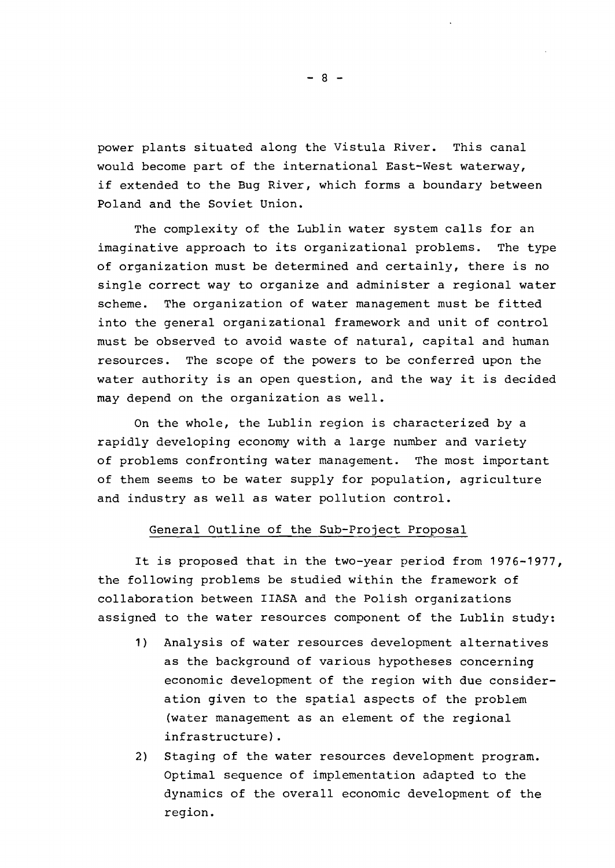power plants situated along the Vistula River. This canal would become part of the international East-West waterway, if extended to the Bug River, which forms a boundary between Poland and the Soviet Union.

The complexity of the Lublin water system calls for an imaginative approach to its organizational problems. The type of organization must be determined and certainly, there is no single correct way to organize and administer a regional water scheme. The organization of water management must be fitted into the general organizational framework and unit of control must be observed to avoid waste of natural, capital and human resources. The scope of the powers to be conferred upon the water authority is an open question, and the way it is decided may depend on the organization as well.

On the whole, the Lublin region is characterized by <sup>a</sup> rapidly developing economy with a large number and variety of problems confronting water management. The most important of them seems to be water supply for population, agriculture and industry as well as water pollution control.

# General Outline of the Sub-Project Proposal

It is proposed that in the two-year period from 1976-1977, the following problems be studied within the framework of collaboration between IIASA and the Polish organizations assigned to the water resources component of the Lublin study:

- 1) Analysis of water resources development alternatives as the background of various hypotheses concerning economic development of the region with due consideration given to the spatial aspects of the problem (water management as an element of the regional infrastructure) .
- 2) Staging of the water resources development program. Optimal sequence of implementation adapted to the dynamics of the overall economic development of the region.

 $- 8 -$